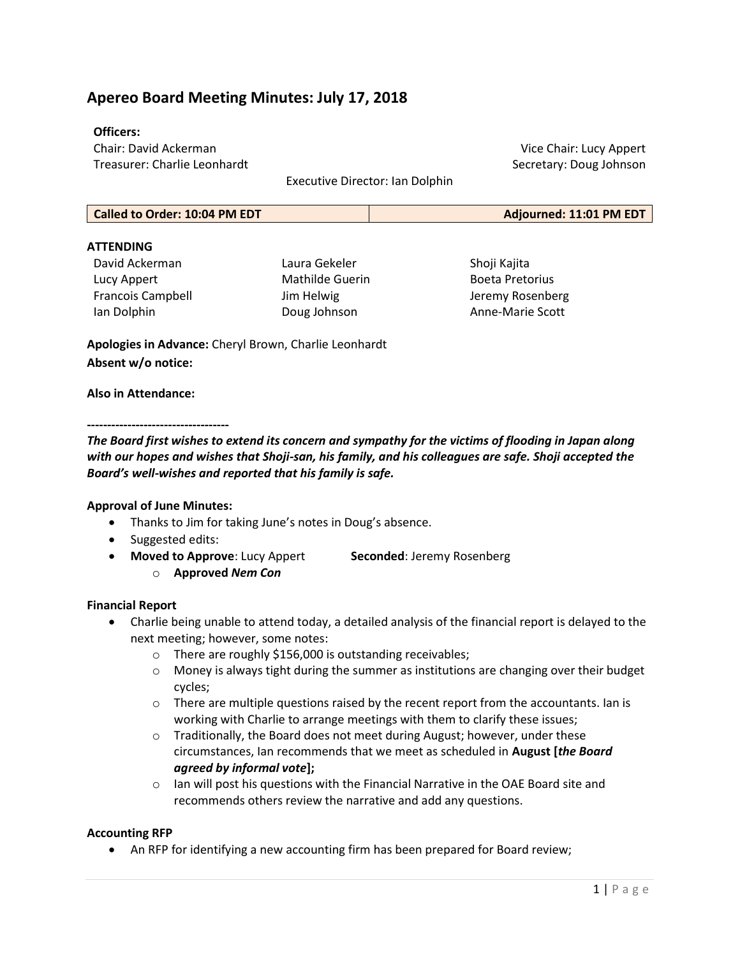# Apereo Board Meeting Minutes: July 17, 2018

#### Officers:

Chair: David Ackerman Treasurer: Charlie Leonhardt

Executive Director: Ian Dolphin

Called to Order: 10:04 PM EDT **Adjourned: 11:01 PM EDT** 

#### **ATTFNDING**

David Ackerman Lucy Appert Francois Campbell Ian Dolphin

Laura Gekeler Mathilde Guerin Jim Helwig Doug Johnson

Shoji Kajita Boeta Pretorius Jeremy Rosenberg Anne-Marie Scott

Vice Chair: Lucy Appert Secretary: Doug Johnson

Apologies in Advance: Cheryl Brown, Charlie Leonhardt Absent w/o notice:

#### Also in Attendance:

#### -----------------------------------

The Board first wishes to extend its concern and sympathy for the victims of flooding in Japan along with our hopes and wishes that Shoji-san, his family, and his colleagues are safe. Shoji accepted the Board's well-wishes and reported that his family is safe.

#### Approval of June Minutes:

- Thanks to Jim for taking June's notes in Doug's absence.
- Suggested edits:
- Moved to Approve: Lucy Appert Seconded: Jeremy Rosenberg
	- o Approved Nem Con

#### Financial Report

- Charlie being unable to attend today, a detailed analysis of the financial report is delayed to the next meeting; however, some notes:
	- o There are roughly \$156,000 is outstanding receivables;
	- $\circ$  Money is always tight during the summer as institutions are changing over their budget cycles;
	- $\circ$  There are multiple questions raised by the recent report from the accountants. Ian is working with Charlie to arrange meetings with them to clarify these issues;
	- $\circ$  Traditionally, the Board does not meet during August; however, under these circumstances, Ian recommends that we meet as scheduled in August [the Board agreed by informal vote];
	- $\circ$  Ian will post his questions with the Financial Narrative in the OAE Board site and recommends others review the narrative and add any questions.

#### Accounting RFP

An RFP for identifying a new accounting firm has been prepared for Board review;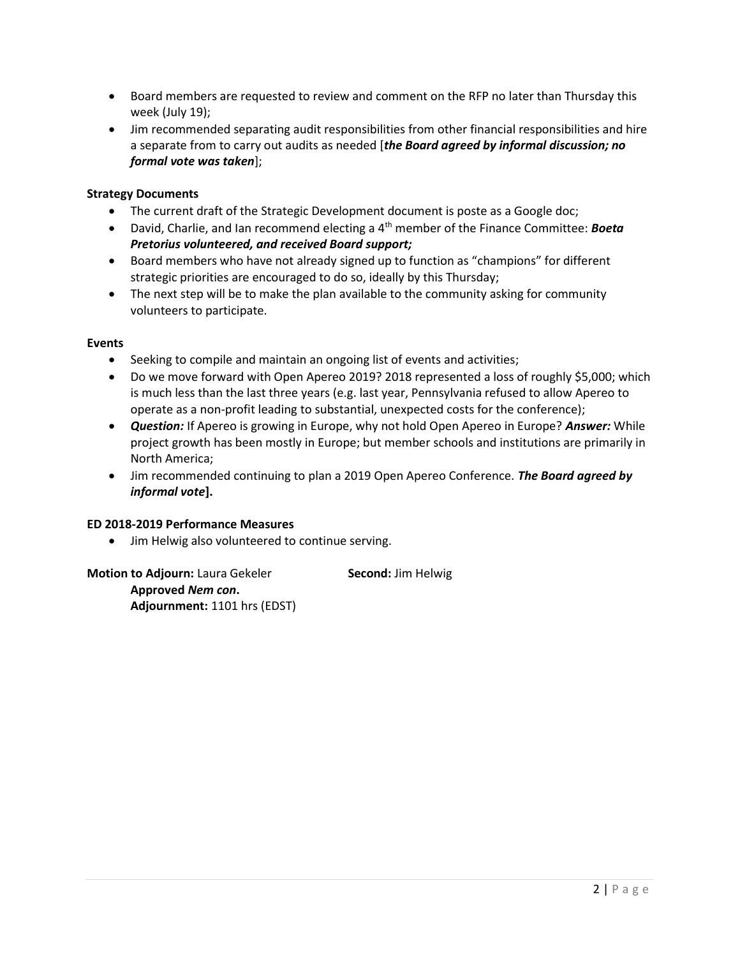- Board members are requested to review and comment on the RFP no later than Thursday this week (July 19);
- Jim recommended separating audit responsibilities from other financial responsibilities and hire a separate from to carry out audits as needed [the Board agreed by informal discussion; no formal vote was taken];

#### Strategy Documents

- The current draft of the Strategic Development document is poste as a Google doc;
- **•** David, Charlie, and Ian recommend electing a 4<sup>th</sup> member of the Finance Committee: **Boeta** Pretorius volunteered, and received Board support;
- Board members who have not already signed up to function as "champions" for different strategic priorities are encouraged to do so, ideally by this Thursday;
- The next step will be to make the plan available to the community asking for community volunteers to participate.

#### Events

- Seeking to compile and maintain an ongoing list of events and activities;
- Do we move forward with Open Apereo 2019? 2018 represented a loss of roughly \$5,000; which is much less than the last three years (e.g. last year, Pennsylvania refused to allow Apereo to operate as a non-profit leading to substantial, unexpected costs for the conference);
- Question: If Apereo is growing in Europe, why not hold Open Apereo in Europe? Answer: While project growth has been mostly in Europe; but member schools and institutions are primarily in North America;
- Jim recommended continuing to plan a 2019 Open Apereo Conference. The Board agreed by informal vote].

#### ED 2018-2019 Performance Measures

• Jim Helwig also volunteered to continue serving.

Motion to Adjourn: Laura Gekeler Second: Jim Helwig Approved Nem con. Adjournment: 1101 hrs (EDST)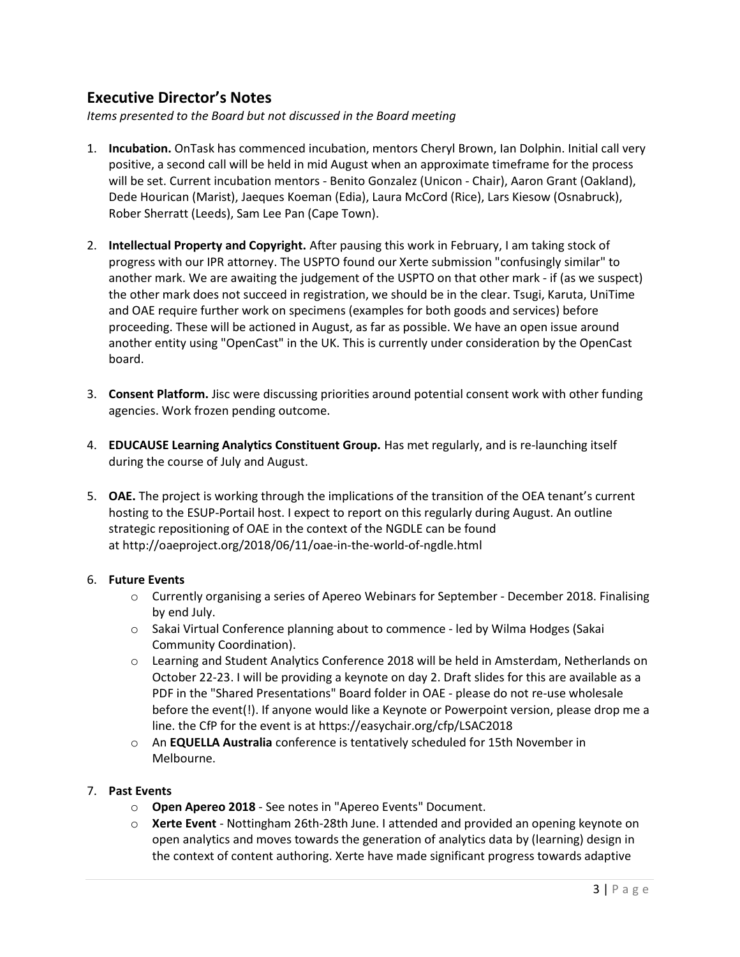## Executive Director's Notes

Items presented to the Board but not discussed in the Board meeting

- 1. Incubation. OnTask has commenced incubation, mentors Cheryl Brown, Ian Dolphin. Initial call very positive, a second call will be held in mid August when an approximate timeframe for the process will be set. Current incubation mentors - Benito Gonzalez (Unicon - Chair), Aaron Grant (Oakland), Dede Hourican (Marist), Jaeques Koeman (Edia), Laura McCord (Rice), Lars Kiesow (Osnabruck), Rober Sherratt (Leeds), Sam Lee Pan (Cape Town).
- 2. Intellectual Property and Copyright. After pausing this work in February, I am taking stock of progress with our IPR attorney. The USPTO found our Xerte submission "confusingly similar" to another mark. We are awaiting the judgement of the USPTO on that other mark - if (as we suspect) the other mark does not succeed in registration, we should be in the clear. Tsugi, Karuta, UniTime and OAE require further work on specimens (examples for both goods and services) before proceeding. These will be actioned in August, as far as possible. We have an open issue around another entity using "OpenCast" in the UK. This is currently under consideration by the OpenCast board.
- 3. Consent Platform. Jisc were discussing priorities around potential consent work with other funding agencies. Work frozen pending outcome.
- 4. **EDUCAUSE Learning Analytics Constituent Group.** Has met regularly, and is re-launching itself during the course of July and August.
- 5. OAE. The project is working through the implications of the transition of the OEA tenant's current hosting to the ESUP-Portail host. I expect to report on this regularly during August. An outline strategic repositioning of OAE in the context of the NGDLE can be found at http://oaeproject.org/2018/06/11/oae-in-the-world-of-ngdle.html

#### 6. Future Events

- o Currently organising a series of Apereo Webinars for September December 2018. Finalising by end July.
- $\circ$  Sakai Virtual Conference planning about to commence led by Wilma Hodges (Sakai Community Coordination).
- o Learning and Student Analytics Conference 2018 will be held in Amsterdam, Netherlands on October 22-23. I will be providing a keynote on day 2. Draft slides for this are available as a PDF in the "Shared Presentations" Board folder in OAE - please do not re-use wholesale before the event(!). If anyone would like a Keynote or Powerpoint version, please drop me a line. the CfP for the event is at https://easychair.org/cfp/LSAC2018
- $\circ$  An EQUELLA Australia conference is tentatively scheduled for 15th November in Melbourne.

### 7. Past Events

- o Open Apereo 2018 See notes in "Apereo Events" Document.
- $\circ$  Xerte Event Nottingham 26th-28th June. I attended and provided an opening keynote on open analytics and moves towards the generation of analytics data by (learning) design in the context of content authoring. Xerte have made significant progress towards adaptive